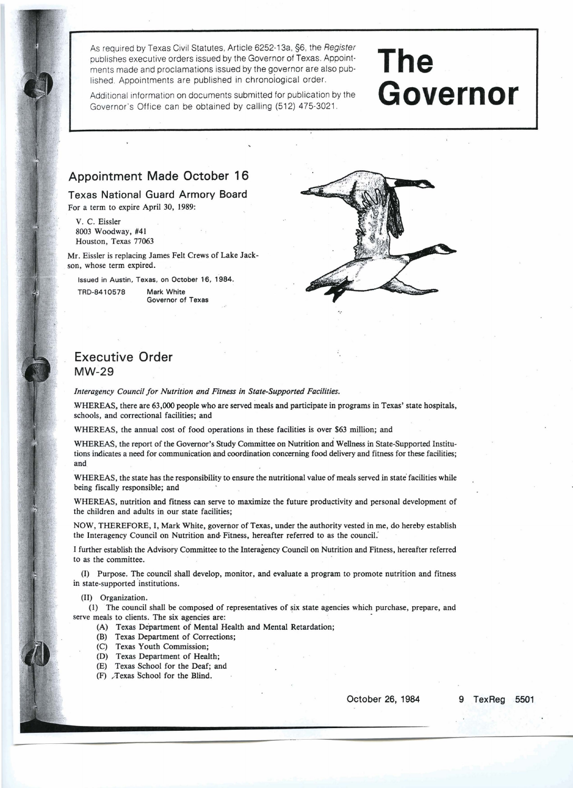As required by Texas Civil Statutes, Article 6252-1 3a, 56, the **Register**  publishes executive orders issued by the Governor of Texas. Appointments made and proclamations issued by the governor are also published. Appointments are published in chronological order.

**The**  Governor

Additional information on documents submitted for publication by the Governor's Office can be obtained by calling (512) 475-3021.

## **Appointment Made October 16**

**Texas National Guard Armory Board**  For a term to expire April **30, 1989:** 

V. C. Eissler **8003** Woodway, #41 Houston, Texas 77063

**h** 

Mr. Eissler is replacing James Felt Crews of Lake Jackson, whose term expired.

**Issued in Austin, Texas, on October 16, 1984. TRD-8410578 Mark White** 

**Governor of Texas** 



## **Executive Order MW-29**

*Interagency Council for Nutrition and Fitness in State-Supported Facilities.* 

WHEREAS, there are **63,000** people who are served meals and participate in programs in Texas' state hospitals, schools, and correctional facilities; and

WHEREAS, the annual cost of food operations in these facilities is over **\$63** million; and

WHEREAS, the report of the Governor's Study Committee on Nutrition and Wellness in State-Supported Institutions indicates a need for communication and coordination concerning food delivery and fitness for these facilities; and.

WHEREAS, the state has the responsibility to ensure the nutritional value of meals served in state facilities while being fiscally responsible; and

WHEREAS, nutrition and fitness can serve to maximize the future productivity and personal development of the children and adults in our state facilities;

NOW, THEREFORE, I, Mark White, governor of Texas, under the authority vested in me, do hereby establish the Interagency Council on Nutrition and Fitness, hereafter referred to as the council.

I further establish the Advisory Committee to the Interagency Council on Nutrition and Fitness, hereafter referred to as the committee.

(I) Purpose. The council shall develop, monitor, and evaluate a program to promote nutrition and fitness in state-supported institutions.

(11) Organization.

(1) The council shall be composed of representatives of six state agencies which purchase, prepare, and serve meals to clients. The six agencies are:

- (A) Texas Department of Mental Health and Mental Retardation;
- (B) Texas Department of Corrections;
- (C) Texas Youth Commission;
- (D) Texas Department of Health;
- (E) Texas School for the Deaf, and
- (F) Texas School for the Blind.

**October 26, 1984 9 TexReg .5501**